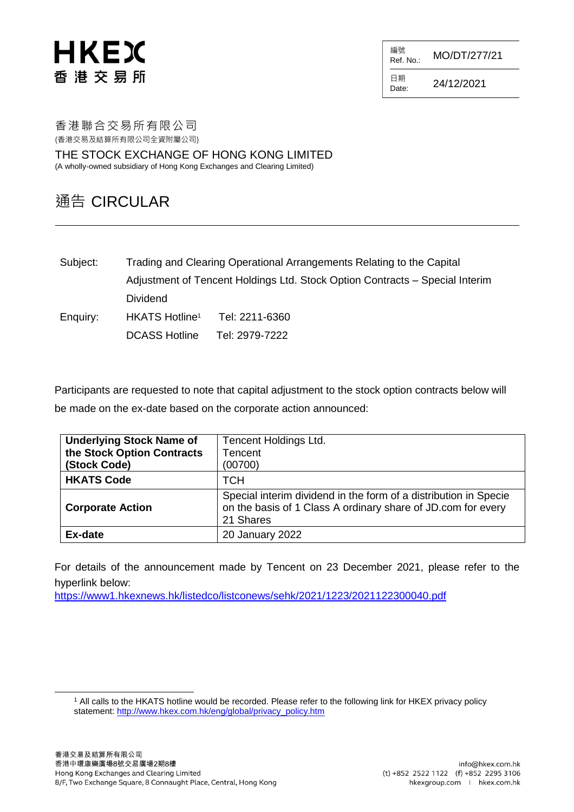# HKEX 香港交易所

編號<br>Ref. No.: Ref. No.: MO/DT/277/21

日期  $D_{\text{date}:}$  24/12/2021

香港聯合交易所有限公司 (香港交易及結算所有限公司全資附屬公司)

THE STOCK EXCHANGE OF HONG KONG LIMITED (A wholly-owned subsidiary of Hong Kong Exchanges and Clearing Limited)

## 通告 CIRCULAR

Subject: Trading and Clearing Operational Arrangements Relating to the Capital Adjustment of Tencent Holdings Ltd. Stock Option Contracts – Special Interim Dividend Enquiry: HKATS Hotline<sup>1</sup> Tel: 2211-6360

DCASS Hotline Tel: 2979-7222

Participants are requested to note that capital adjustment to the stock option contracts below will be made on the ex-date based on the corporate action announced:

| <b>Underlying Stock Name of</b><br>the Stock Option Contracts<br>(Stock Code) | Tencent Holdings Ltd.<br><b>Tencent</b><br>(00700)                                                                                            |  |
|-------------------------------------------------------------------------------|-----------------------------------------------------------------------------------------------------------------------------------------------|--|
| <b>HKATS Code</b>                                                             | <b>TCH</b>                                                                                                                                    |  |
| <b>Corporate Action</b>                                                       | Special interim dividend in the form of a distribution in Specie<br>on the basis of 1 Class A ordinary share of JD.com for every<br>21 Shares |  |
| Ex-date                                                                       | 20 January 2022                                                                                                                               |  |

For details of the announcement made by Tencent on 23 December 2021, please refer to the hyperlink below:

<https://www1.hkexnews.hk/listedco/listconews/sehk/2021/1223/2021122300040.pdf>

l

<sup>1</sup> All calls to the HKATS hotline would be recorded. Please refer to the following link for HKEX privacy policy statement: [http://www.hkex.com.hk/eng/global/privacy\\_policy.htm](http://www.hkex.com.hk/eng/global/privacy_policy.htm)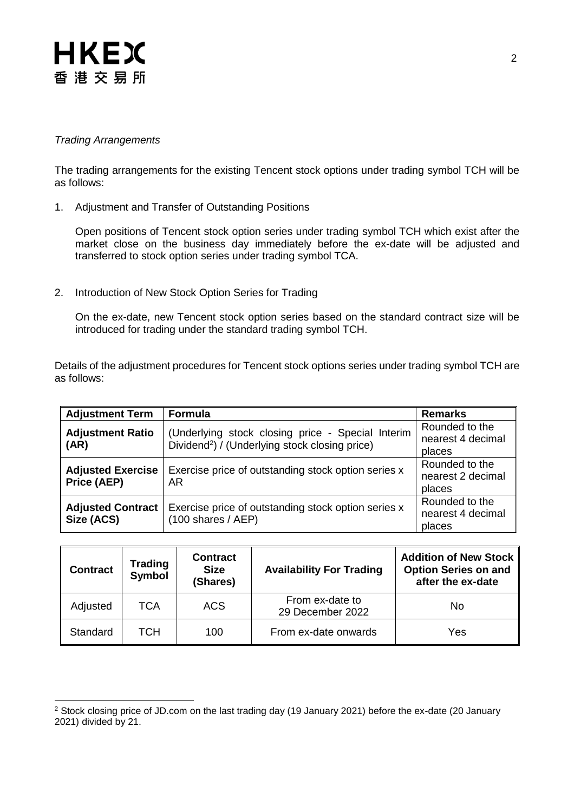# **HKEX** 香港交易所

### *Trading Arrangements*

l

The trading arrangements for the existing Tencent stock options under trading symbol TCH will be as follows:

1. Adjustment and Transfer of Outstanding Positions

Open positions of Tencent stock option series under trading symbol TCH which exist after the market close on the business day immediately before the ex-date will be adjusted and transferred to stock option series under trading symbol TCA.

2. Introduction of New Stock Option Series for Trading

On the ex-date, new Tencent stock option series based on the standard contract size will be introduced for trading under the standard trading symbol TCH.

Details of the adjustment procedures for Tencent stock options series under trading symbol TCH are as follows:

| <b>Adjustment Term</b>                                                                                | Formula                                                                                                         | <b>Remarks</b>                                |
|-------------------------------------------------------------------------------------------------------|-----------------------------------------------------------------------------------------------------------------|-----------------------------------------------|
| <b>Adjustment Ratio</b><br>(AR)                                                                       | (Underlying stock closing price - Special Interim<br>Dividend <sup>2</sup> ) / (Underlying stock closing price) | Rounded to the<br>nearest 4 decimal<br>places |
| <b>Adjusted Exercise</b><br>Exercise price of outstanding stock option series x<br>Price (AEP)<br>AR. |                                                                                                                 | Rounded to the<br>nearest 2 decimal<br>places |
| <b>Adjusted Contract</b><br>Size (ACS)                                                                | Exercise price of outstanding stock option series x<br>$(100 \text{ shares } / \text{ AEP})$                    | Rounded to the<br>nearest 4 decimal<br>places |

| <b>Contract</b> | Trading<br>Symbol | <b>Contract</b><br><b>Size</b><br>(Shares) | <b>Availability For Trading</b>     | Addition of New Stock<br><b>Option Series on and</b><br>after the ex-date |
|-----------------|-------------------|--------------------------------------------|-------------------------------------|---------------------------------------------------------------------------|
| Adjusted        | TCA               | <b>ACS</b>                                 | From ex-date to<br>29 December 2022 | No                                                                        |
| Standard        | тсн               | 100                                        | From ex-date onwards                | Yes                                                                       |

<sup>2</sup> Stock closing price of JD.com on the last trading day (19 January 2021) before the ex-date (20 January 2021) divided by 21.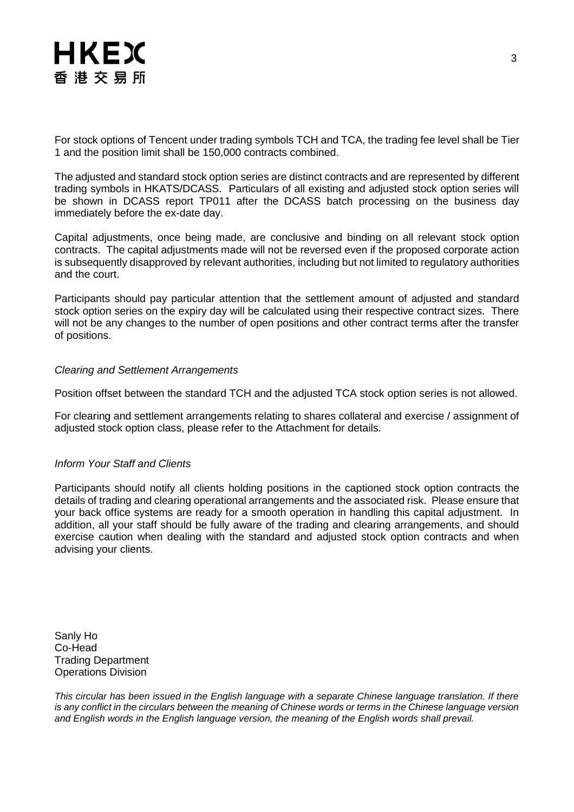

For stock options of Tencent under trading symbols TCH and TCA, the trading fee level shall be Tier 1 and the position limit shall be 150,000 contracts combined.

The adjusted and standard stock option series are distinct contracts and are represented by different trading symbols in HKATS/DCASS. Particulars of all existing and adjusted stock option series will be shown in DCASS report TP011 after the DCASS batch processing on the business day immediately before the ex-date day.

Capital adjustments, once being made, are conclusive and binding on all relevant stock option contracts. The capital adjustments made will not be reversed even if the proposed corporate action is subsequently disapproved by relevant authorities, including but not limited to regulatory authorities and the court.

Participants should pay particular attention that the settlement amount of adjusted and standard stock option series on the expiry day will be calculated using their respective contract sizes. There will not be any changes to the number of open positions and other contract terms after the transfer of positions.

#### *Clearing and Settlement Arrangements*

Position offset between the standard TCH and the adjusted TCA stock option series is not allowed.

For clearing and settlement arrangements relating to shares collateral and exercise / assignment of adjusted stock option class, please refer to the Attachment for details.

#### *Inform Your Staff and Clients*

Participants should notify all clients holding positions in the captioned stock option contracts the details of trading and clearing operational arrangements and the associated risk. Please ensure that your back office systems are ready for a smooth operation in handling this capital adjustment. In addition, all your staff should be fully aware of the trading and clearing arrangements, and should exercise caution when dealing with the standard and adjusted stock option contracts and when advising your clients.

Sanly Ho Co-Head Trading Department Operations Division

*This circular has been issued in the English language with a separate Chinese language translation. If there is any conflict in the circulars between the meaning of Chinese words or terms in the Chinese language version and English words in the English language version, the meaning of the English words shall prevail.*